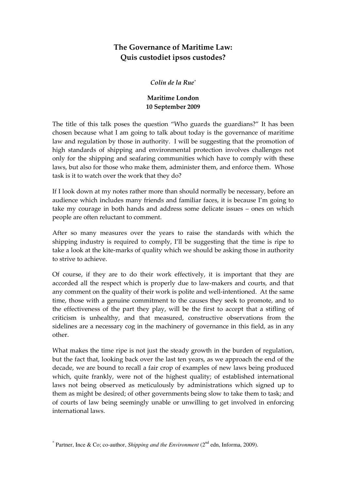# The Governance of Maritime Law: Quis custodiet ipsos custodes?

## Colin de la Rue\*

# Maritime London 10 September 2009

The title of this talk poses the question "Who guards the guardians?" It has been chosen because what I am going to talk about today is the governance of maritime law and regulation by those in authority. I will be suggesting that the promotion of high standards of shipping and environmental protection involves challenges not only for the shipping and seafaring communities which have to comply with these laws, but also for those who make them, administer them, and enforce them. Whose task is it to watch over the work that they do?

If I look down at my notes rather more than should normally be necessary, before an audience which includes many friends and familiar faces, it is because I'm going to take my courage in both hands and address some delicate issues – ones on which people are often reluctant to comment.

After so many measures over the years to raise the standards with which the shipping industry is required to comply, I'll be suggesting that the time is ripe to take a look at the kite-marks of quality which we should be asking those in authority to strive to achieve.

Of course, if they are to do their work effectively, it is important that they are accorded all the respect which is properly due to law-makers and courts, and that any comment on the quality of their work is polite and well-intentioned. At the same time, those with a genuine commitment to the causes they seek to promote, and to the effectiveness of the part they play, will be the first to accept that a stifling of criticism is unhealthy, and that measured, constructive observations from the sidelines are a necessary cog in the machinery of governance in this field, as in any other.

What makes the time ripe is not just the steady growth in the burden of regulation, but the fact that, looking back over the last ten years, as we approach the end of the decade, we are bound to recall a fair crop of examples of new laws being produced which, quite frankly, were not of the highest quality; of established international laws not being observed as meticulously by administrations which signed up to them as might be desired; of other governments being slow to take them to task; and of courts of law being seemingly unable or unwilling to get involved in enforcing international laws.

 $*$  Partner, Ince & Co; co-author, *Shipping and the Environment* ( $2<sup>nd</sup>$  edn, Informa, 2009).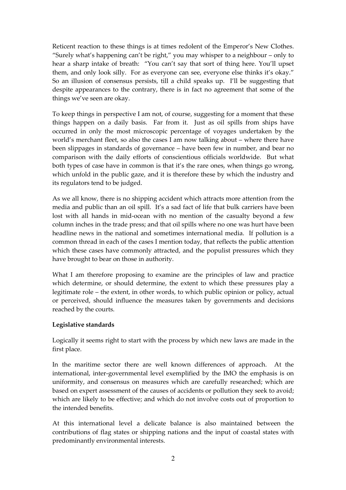Reticent reaction to these things is at times redolent of the Emperor's New Clothes. "Surely what's happening can't be right," you may whisper to a neighbour – only to hear a sharp intake of breath: "You can't say that sort of thing here. You'll upset them, and only look silly. For as everyone can see, everyone else thinks it's okay." So an illusion of consensus persists, till a child speaks up. I'll be suggesting that despite appearances to the contrary, there is in fact no agreement that some of the things we've seen are okay.

To keep things in perspective I am not, of course, suggesting for a moment that these things happen on a daily basis. Far from it. Just as oil spills from ships have occurred in only the most microscopic percentage of voyages undertaken by the world's merchant fleet, so also the cases I am now talking about – where there have been slippages in standards of governance – have been few in number, and bear no comparison with the daily efforts of conscientious officials worldwide. But what both types of case have in common is that it's the rare ones, when things go wrong, which unfold in the public gaze, and it is therefore these by which the industry and its regulators tend to be judged.

As we all know, there is no shipping accident which attracts more attention from the media and public than an oil spill. It's a sad fact of life that bulk carriers have been lost with all hands in mid-ocean with no mention of the casualty beyond a few column inches in the trade press; and that oil spills where no one was hurt have been headline news in the national and sometimes international media. If pollution is a common thread in each of the cases I mention today, that reflects the public attention which these cases have commonly attracted, and the populist pressures which they have brought to bear on those in authority.

What I am therefore proposing to examine are the principles of law and practice which determine, or should determine, the extent to which these pressures play a legitimate role – the extent, in other words, to which public opinion or policy, actual or perceived, should influence the measures taken by governments and decisions reached by the courts.

# Legislative standards

Logically it seems right to start with the process by which new laws are made in the first place.

In the maritime sector there are well known differences of approach. At the international, inter-governmental level exemplified by the IMO the emphasis is on uniformity, and consensus on measures which are carefully researched; which are based on expert assessment of the causes of accidents or pollution they seek to avoid; which are likely to be effective; and which do not involve costs out of proportion to the intended benefits.

At this international level a delicate balance is also maintained between the contributions of flag states or shipping nations and the input of coastal states with predominantly environmental interests.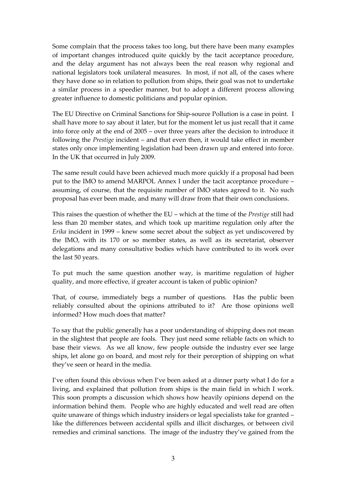Some complain that the process takes too long, but there have been many examples of important changes introduced quite quickly by the tacit acceptance procedure, and the delay argument has not always been the real reason why regional and national legislators took unilateral measures. In most, if not all, of the cases where they have done so in relation to pollution from ships, their goal was not to undertake a similar process in a speedier manner, but to adopt a different process allowing greater influence to domestic politicians and popular opinion.

The EU Directive on Criminal Sanctions for Ship-source Pollution is a case in point. I shall have more to say about it later, but for the moment let us just recall that it came into force only at the end of 2005 – over three years after the decision to introduce it following the Prestige incident – and that even then, it would take effect in member states only once implementing legislation had been drawn up and entered into force. In the UK that occurred in July 2009.

The same result could have been achieved much more quickly if a proposal had been put to the IMO to amend MARPOL Annex I under the tacit acceptance procedure – assuming, of course, that the requisite number of IMO states agreed to it. No such proposal has ever been made, and many will draw from that their own conclusions.

This raises the question of whether the EU – which at the time of the Prestige still had less than 20 member states, and which took up maritime regulation only after the Erika incident in 1999 – knew some secret about the subject as yet undiscovered by the IMO, with its 170 or so member states, as well as its secretariat, observer delegations and many consultative bodies which have contributed to its work over the last 50 years.

To put much the same question another way, is maritime regulation of higher quality, and more effective, if greater account is taken of public opinion?

That, of course, immediately begs a number of questions. Has the public been reliably consulted about the opinions attributed to it? Are those opinions well informed? How much does that matter?

To say that the public generally has a poor understanding of shipping does not mean in the slightest that people are fools. They just need some reliable facts on which to base their views. As we all know, few people outside the industry ever see large ships, let alone go on board, and most rely for their perception of shipping on what they've seen or heard in the media.

I've often found this obvious when I've been asked at a dinner party what I do for a living, and explained that pollution from ships is the main field in which I work. This soon prompts a discussion which shows how heavily opinions depend on the information behind them. People who are highly educated and well read are often quite unaware of things which industry insiders or legal specialists take for granted – like the differences between accidental spills and illicit discharges, or between civil remedies and criminal sanctions. The image of the industry they've gained from the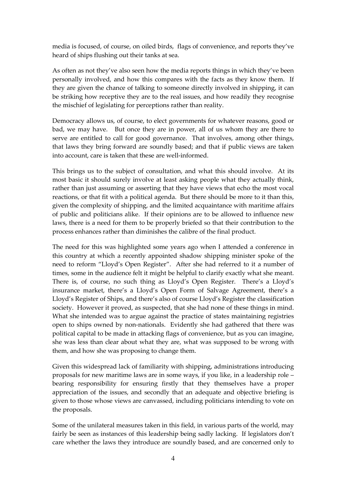media is focused, of course, on oiled birds, flags of convenience, and reports they've heard of ships flushing out their tanks at sea.

As often as not they've also seen how the media reports things in which they've been personally involved, and how this compares with the facts as they know them. If they are given the chance of talking to someone directly involved in shipping, it can be striking how receptive they are to the real issues, and how readily they recognise the mischief of legislating for perceptions rather than reality.

Democracy allows us, of course, to elect governments for whatever reasons, good or bad, we may have. But once they are in power, all of us whom they are there to serve are entitled to call for good governance. That involves, among other things, that laws they bring forward are soundly based; and that if public views are taken into account, care is taken that these are well-informed.

This brings us to the subject of consultation, and what this should involve. At its most basic it should surely involve at least asking people what they actually think, rather than just assuming or asserting that they have views that echo the most vocal reactions, or that fit with a political agenda. But there should be more to it than this, given the complexity of shipping, and the limited acquaintance with maritime affairs of public and politicians alike. If their opinions are to be allowed to influence new laws, there is a need for them to be properly briefed so that their contribution to the process enhances rather than diminishes the calibre of the final product.

The need for this was highlighted some years ago when I attended a conference in this country at which a recently appointed shadow shipping minister spoke of the need to reform "Lloyd's Open Register". After she had referred to it a number of times, some in the audience felt it might be helpful to clarify exactly what she meant. There is, of course, no such thing as Lloyd's Open Register. There's a Lloyd's insurance market, there's a Lloyd's Open Form of Salvage Agreement, there's a Lloyd's Register of Ships, and there's also of course Lloyd's Register the classification society. However it proved, as suspected, that she had none of these things in mind. What she intended was to argue against the practice of states maintaining registries open to ships owned by non-nationals. Evidently she had gathered that there was political capital to be made in attacking flags of convenience, but as you can imagine, she was less than clear about what they are, what was supposed to be wrong with them, and how she was proposing to change them.

Given this widespread lack of familiarity with shipping, administrations introducing proposals for new maritime laws are in some ways, if you like, in a leadership role – bearing responsibility for ensuring firstly that they themselves have a proper appreciation of the issues, and secondly that an adequate and objective briefing is given to those whose views are canvassed, including politicians intending to vote on the proposals.

Some of the unilateral measures taken in this field, in various parts of the world, may fairly be seen as instances of this leadership being sadly lacking. If legislators don't care whether the laws they introduce are soundly based, and are concerned only to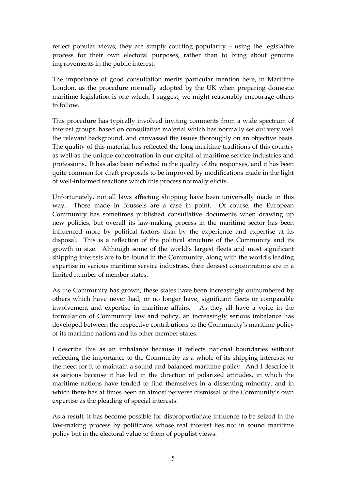reflect popular views, they are simply courting popularity – using the legislative process for their own electoral purposes, rather than to bring about genuine improvements in the public interest.

The importance of good consultation merits particular mention here, in Maritime London, as the procedure normally adopted by the UK when preparing domestic maritime legislation is one which, I suggest, we might reasonably encourage others to follow.

This procedure has typically involved inviting comments from a wide spectrum of interest groups, based on consultative material which has normally set out very well the relevant background, and canvassed the issues thoroughly on an objective basis. The quality of this material has reflected the long maritime traditions of this country as well as the unique concentration in our capital of maritime service industries and professions. It has also been reflected in the quality of the responses, and it has been quite common for draft proposals to be improved by modifications made in the light of well-informed reactions which this process normally elicits.

Unfortunately, not all laws affecting shipping have been universally made in this way. Those made in Brussels are a case in point. Of course, the European Community has sometimes published consultative documents when drawing up new policies, but overall its law-making process in the maritime sector has been influenced more by political factors than by the experience and expertise at its disposal. This is a reflection of the political structure of the Community and its growth in size. Although some of the world's largest fleets and most significant shipping interests are to be found in the Community, along with the world's leading expertise in various maritime service industries, their densest concentrations are in a limited number of member states.

As the Community has grown, these states have been increasingly outnumbered by others which have never had, or no longer have, significant fleets or comparable involvement and expertise in maritime affairs. As they all have a voice in the formulation of Community law and policy, an increasingly serious imbalance has developed between the respective contributions to the Community's maritime policy of its maritime nations and its other member states.

I describe this as an imbalance because it reflects national boundaries without reflecting the importance to the Community as a whole of its shipping interests, or the need for it to maintain a sound and balanced maritime policy. And I describe it as serious because it has led in the direction of polarized attitudes, in which the maritime nations have tended to find themselves in a dissenting minority, and in which there has at times been an almost perverse dismissal of the Community's own expertise as the pleading of special interests.

As a result, it has become possible for disproportionate influence to be seized in the law-making process by politicians whose real interest lies not in sound maritime policy but in the electoral value to them of populist views.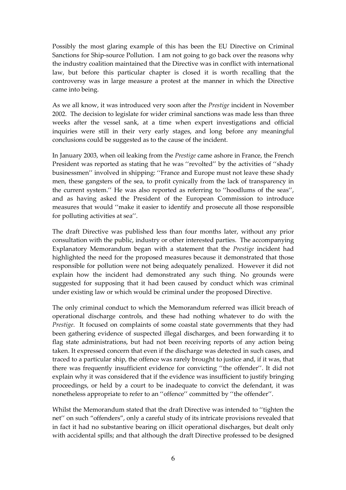Possibly the most glaring example of this has been the EU Directive on Criminal Sanctions for Ship-source Pollution. I am not going to go back over the reasons why the industry coalition maintained that the Directive was in conflict with international law, but before this particular chapter is closed it is worth recalling that the controversy was in large measure a protest at the manner in which the Directive came into being.

As we all know, it was introduced very soon after the Prestige incident in November 2002. The decision to legislate for wider criminal sanctions was made less than three weeks after the vessel sank, at a time when expert investigations and official inquiries were still in their very early stages, and long before any meaningful conclusions could be suggested as to the cause of the incident.

In January 2003, when oil leaking from the Prestige came ashore in France, the French President was reported as stating that he was "revolted" by the activities of "shady businessmen'' involved in shipping: ''France and Europe must not leave these shady men, these gangsters of the sea, to profit cynically from the lack of transparency in the current system.'' He was also reported as referring to ''hoodlums of the seas'', and as having asked the President of the European Commission to introduce measures that would ''make it easier to identify and prosecute all those responsible for polluting activities at sea''.

The draft Directive was published less than four months later, without any prior consultation with the public, industry or other interested parties. The accompanying Explanatory Memorandum began with a statement that the Prestige incident had highlighted the need for the proposed measures because it demonstrated that those responsible for pollution were not being adequately penalized. However it did not explain how the incident had demonstrated any such thing. No grounds were suggested for supposing that it had been caused by conduct which was criminal under existing law or which would be criminal under the proposed Directive.

The only criminal conduct to which the Memorandum referred was illicit breach of operational discharge controls, and these had nothing whatever to do with the Prestige. It focused on complaints of some coastal state governments that they had been gathering evidence of suspected illegal discharges, and been forwarding it to flag state administrations, but had not been receiving reports of any action being taken. It expressed concern that even if the discharge was detected in such cases, and traced to a particular ship, the offence was rarely brought to justice and, if it was, that there was frequently insufficient evidence for convicting ''the offender''. It did not explain why it was considered that if the evidence was insufficient to justify bringing proceedings, or held by a court to be inadequate to convict the defendant, it was nonetheless appropriate to refer to an ''offence'' committed by ''the offender''.

Whilst the Memorandum stated that the draft Directive was intended to ''tighten the net'' on such "offenders", only a careful study of its intricate provisions revealed that in fact it had no substantive bearing on illicit operational discharges, but dealt only with accidental spills; and that although the draft Directive professed to be designed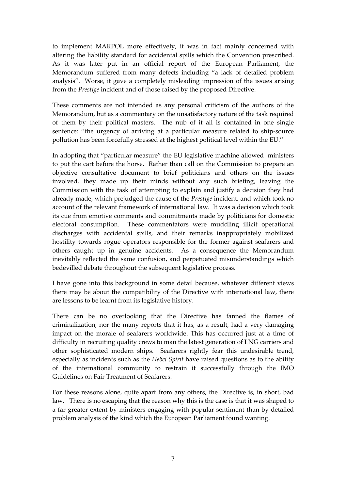to implement MARPOL more effectively, it was in fact mainly concerned with altering the liability standard for accidental spills which the Convention prescribed. As it was later put in an official report of the European Parliament, the Memorandum suffered from many defects including "a lack of detailed problem analysis". Worse, it gave a completely misleading impression of the issues arising from the Prestige incident and of those raised by the proposed Directive.

These comments are not intended as any personal criticism of the authors of the Memorandum, but as a commentary on the unsatisfactory nature of the task required of them by their political masters. The nub of it all is contained in one single sentence: ''the urgency of arriving at a particular measure related to ship-source pollution has been forcefully stressed at the highest political level within the EU.''

In adopting that "particular measure" the EU legislative machine allowed ministers to put the cart before the horse. Rather than call on the Commission to prepare an objective consultative document to brief politicians and others on the issues involved, they made up their minds without any such briefing, leaving the Commission with the task of attempting to explain and justify a decision they had already made, which prejudged the cause of the Prestige incident, and which took no account of the relevant framework of international law. It was a decision which took its cue from emotive comments and commitments made by politicians for domestic electoral consumption. These commentators were muddling illicit operational discharges with accidental spills, and their remarks inappropriately mobilized hostility towards rogue operators responsible for the former against seafarers and others caught up in genuine accidents. As a consequence the Memorandum inevitably reflected the same confusion, and perpetuated misunderstandings which bedevilled debate throughout the subsequent legislative process.

I have gone into this background in some detail because, whatever different views there may be about the compatibility of the Directive with international law, there are lessons to be learnt from its legislative history.

There can be no overlooking that the Directive has fanned the flames of criminalization, nor the many reports that it has, as a result, had a very damaging impact on the morale of seafarers worldwide. This has occurred just at a time of difficulty in recruiting quality crews to man the latest generation of LNG carriers and other sophisticated modern ships. Seafarers rightly fear this undesirable trend, especially as incidents such as the Hebei Spirit have raised questions as to the ability of the international community to restrain it successfully through the IMO Guidelines on Fair Treatment of Seafarers.

For these reasons alone, quite apart from any others, the Directive is, in short, bad law. There is no escaping that the reason why this is the case is that it was shaped to a far greater extent by ministers engaging with popular sentiment than by detailed problem analysis of the kind which the European Parliament found wanting.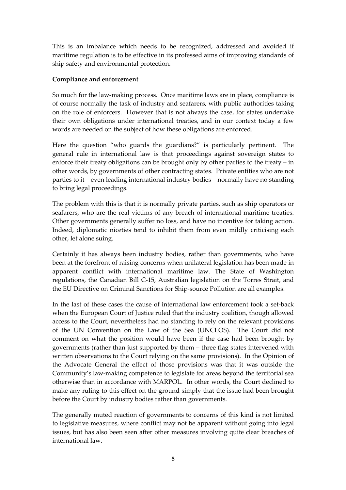This is an imbalance which needs to be recognized, addressed and avoided if maritime regulation is to be effective in its professed aims of improving standards of ship safety and environmental protection.

#### Compliance and enforcement

So much for the law-making process. Once maritime laws are in place, compliance is of course normally the task of industry and seafarers, with public authorities taking on the role of enforcers. However that is not always the case, for states undertake their own obligations under international treaties, and in our context today a few words are needed on the subject of how these obligations are enforced.

Here the question "who guards the guardians?" is particularly pertinent. The general rule in international law is that proceedings against sovereign states to enforce their treaty obligations can be brought only by other parties to the treaty – in other words, by governments of other contracting states. Private entities who are not parties to it – even leading international industry bodies – normally have no standing to bring legal proceedings.

The problem with this is that it is normally private parties, such as ship operators or seafarers, who are the real victims of any breach of international maritime treaties. Other governments generally suffer no loss, and have no incentive for taking action. Indeed, diplomatic niceties tend to inhibit them from even mildly criticising each other, let alone suing.

Certainly it has always been industry bodies, rather than governments, who have been at the forefront of raising concerns when unilateral legislation has been made in apparent conflict with international maritime law. The State of Washington regulations, the Canadian Bill C-15, Australian legislation on the Torres Strait, and the EU Directive on Criminal Sanctions for Ship-source Pollution are all examples.

In the last of these cases the cause of international law enforcement took a set-back when the European Court of Justice ruled that the industry coalition, though allowed access to the Court, nevertheless had no standing to rely on the relevant provisions of the UN Convention on the Law of the Sea (UNCLOS). The Court did not comment on what the position would have been if the case had been brought by governments (rather than just supported by them – three flag states intervened with written observations to the Court relying on the same provisions). In the Opinion of the Advocate General the effect of those provisions was that it was outside the Community's law-making competence to legislate for areas beyond the territorial sea otherwise than in accordance with MARPOL. In other words, the Court declined to make any ruling to this effect on the ground simply that the issue had been brought before the Court by industry bodies rather than governments.

The generally muted reaction of governments to concerns of this kind is not limited to legislative measures, where conflict may not be apparent without going into legal issues, but has also been seen after other measures involving quite clear breaches of international law.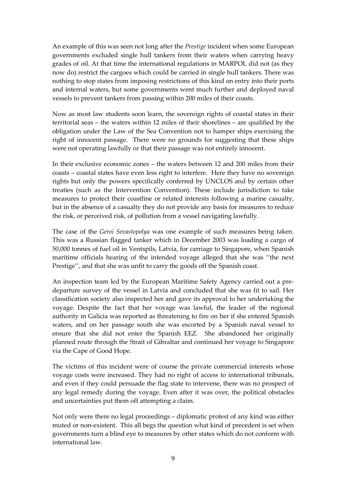An example of this was seen not long after the Prestige incident when some European governments excluded single hull tankers from their waters when carrying heavy grades of oil. At that time the international regulations in MARPOL did not (as they now do) restrict the cargoes which could be carried in single hull tankers. There was nothing to stop states from imposing restrictions of this kind on entry into their ports and internal waters, but some governments went much further and deployed naval vessels to prevent tankers from passing within 200 miles of their coasts.

Now as most law students soon learn, the sovereign rights of coastal states in their territorial seas – the waters within 12 miles of their shorelines – are qualified by the obligation under the Law of the Sea Convention not to hamper ships exercising the right of innocent passage. There were no grounds for suggesting that these ships were not operating lawfully or that their passage was not entirely innocent.

In their exclusive economic zones – the waters between 12 and 200 miles from their coasts – coastal states have even less right to interfere. Here they have no sovereign rights but only the powers specifically conferred by UNCLOS and by certain other treaties (such as the Intervention Convention). These include jurisdiction to take measures to protect their coastline or related interests following a marine casualty, but in the absence of a casualty they do not provide any basis for measures to reduce the risk, or perceived risk, of pollution from a vessel navigating lawfully.

The case of the Geroi Sevastopolya was one example of such measures being taken. This was a Russian flagged tanker which in December 2003 was loading a cargo of 50,000 tonnes of fuel oil in Ventspils, Latvia, for carriage to Singapore, when Spanish maritime officials hearing of the intended voyage alleged that she was ''the next Prestige'', and that she was unfit to carry the goods off the Spanish coast.

An inspection team led by the European Maritime Safety Agency carried out a predeparture survey of the vessel in Latvia and concluded that she was fit to sail. Her classification society also inspected her and gave its approval to her undertaking the voyage. Despite the fact that her voyage was lawful, the leader of the regional authority in Galicia was reported as threatening to fire on her if she entered Spanish waters, and on her passage south she was escorted by a Spanish naval vessel to ensure that she did not enter the Spanish EEZ. She abandoned her originally planned route through the Strait of Gibraltar and continued her voyage to Singapore via the Cape of Good Hope.

The victims of this incident were of course the private commercial interests whose voyage costs were increased. They had no right of access to international tribunals, and even if they could persuade the flag state to intervene, there was no prospect of any legal remedy during the voyage. Even after it was over, the political obstacles and uncertainties put them off attempting a claim.

Not only were there no legal proceedings – diplomatic protest of any kind was either muted or non-existent. This all begs the question what kind of precedent is set when governments turn a blind eye to measures by other states which do not conform with international law.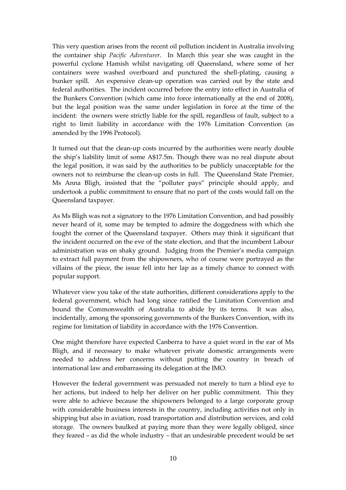This very question arises from the recent oil pollution incident in Australia involving the container ship Pacific Adventurer. In March this year she was caught in the powerful cyclone Hamish whilst navigating off Queensland, where some of her containers were washed overboard and punctured the shell-plating, causing a bunker spill. An expensive clean-up operation was carried out by the state and federal authorities. The incident occurred before the entry into effect in Australia of the Bunkers Convention (which came into force internationally at the end of 2008), but the legal position was the same under legislation in force at the time of the incident: the owners were strictly liable for the spill, regardless of fault, subject to a right to limit liability in accordance with the 1976 Limitation Convention (as amended by the 1996 Protocol).

It turned out that the clean-up costs incurred by the authorities were nearly double the ship's liability limit of some A\$17.5m. Though there was no real dispute about the legal position, it was said by the authorities to be publicly unacceptable for the owners not to reimburse the clean-up costs in full. The Queensland State Premier, Ms Anna Bligh, insisted that the "polluter pays" principle should apply, and undertook a public commitment to ensure that no part of the costs would fall on the Queensland taxpayer.

As Ms Bligh was not a signatory to the 1976 Limitation Convention, and had possibly never heard of it, some may be tempted to admire the doggedness with which she fought the corner of the Queensland taxpayer. Others may think it significant that the incident occurred on the eve of the state election, and that the incumbent Labour administration was on shaky ground. Judging from the Premier's media campaign to extract full payment from the shipowners, who of course were portrayed as the villains of the piece, the issue fell into her lap as a timely chance to connect with popular support.

Whatever view you take of the state authorities, different considerations apply to the federal government, which had long since ratified the Limitation Convention and bound the Commonwealth of Australia to abide by its terms. It was also, incidentally, among the sponsoring governments of the Bunkers Convention, with its regime for limitation of liability in accordance with the 1976 Convention.

One might therefore have expected Canberra to have a quiet word in the ear of Ms Bligh, and if necessary to make whatever private domestic arrangements were needed to address her concerns without putting the country in breach of international law and embarrassing its delegation at the IMO.

However the federal government was persuaded not merely to turn a blind eye to her actions, but indeed to help her deliver on her public commitment. This they were able to achieve because the shipowners belonged to a large corporate group with considerable business interests in the country, including activities not only in shipping but also in aviation, road transportation and distribution services, and cold storage. The owners baulked at paying more than they were legally obliged, since they feared – as did the whole industry – that an undesirable precedent would be set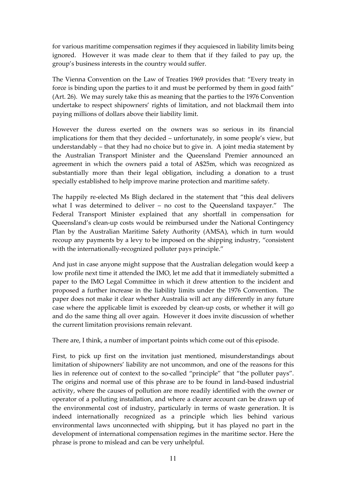for various maritime compensation regimes if they acquiesced in liability limits being ignored. However it was made clear to them that if they failed to pay up, the group's business interests in the country would suffer.

The Vienna Convention on the Law of Treaties 1969 provides that: "Every treaty in force is binding upon the parties to it and must be performed by them in good faith" (Art. 26). We may surely take this as meaning that the parties to the 1976 Convention undertake to respect shipowners' rights of limitation, and not blackmail them into paying millions of dollars above their liability limit.

However the duress exerted on the owners was so serious in its financial implications for them that they decided – unfortunately, in some people's view, but understandably – that they had no choice but to give in. A joint media statement by the Australian Transport Minister and the Queensland Premier announced an agreement in which the owners paid a total of A\$25m, which was recognized as substantially more than their legal obligation, including a donation to a trust specially established to help improve marine protection and maritime safety.

The happily re-elected Ms Bligh declared in the statement that "this deal delivers what I was determined to deliver – no cost to the Queensland taxpayer." The Federal Transport Minister explained that any shortfall in compensation for Queensland's clean-up costs would be reimbursed under the National Contingency Plan by the Australian Maritime Safety Authority (AMSA), which in turn would recoup any payments by a levy to be imposed on the shipping industry, "consistent with the internationally-recognized polluter pays principle."

And just in case anyone might suppose that the Australian delegation would keep a low profile next time it attended the IMO, let me add that it immediately submitted a paper to the IMO Legal Committee in which it drew attention to the incident and proposed a further increase in the liability limits under the 1976 Convention. The paper does not make it clear whether Australia will act any differently in any future case where the applicable limit is exceeded by clean-up costs, or whether it will go and do the same thing all over again. However it does invite discussion of whether the current limitation provisions remain relevant.

There are, I think, a number of important points which come out of this episode.

First, to pick up first on the invitation just mentioned, misunderstandings about limitation of shipowners' liability are not uncommon, and one of the reasons for this lies in reference out of context to the so-called "principle" that "the polluter pays". The origins and normal use of this phrase are to be found in land-based industrial activity, where the causes of pollution are more readily identified with the owner or operator of a polluting installation, and where a clearer account can be drawn up of the environmental cost of industry, particularly in terms of waste generation. It is indeed internationally recognized as a principle which lies behind various environmental laws unconnected with shipping, but it has played no part in the development of international compensation regimes in the maritime sector. Here the phrase is prone to mislead and can be very unhelpful.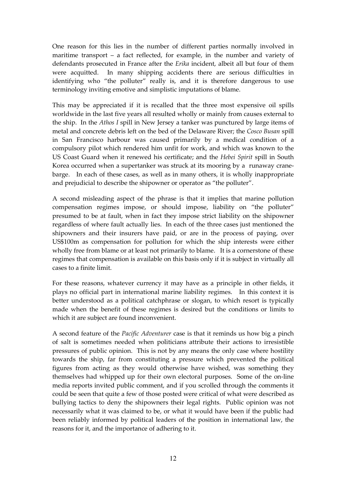One reason for this lies in the number of different parties normally involved in maritime transport – a fact reflected, for example, in the number and variety of defendants prosecuted in France after the Erika incident, albeit all but four of them were acquitted. In many shipping accidents there are serious difficulties in identifying who "the polluter" really is, and it is therefore dangerous to use terminology inviting emotive and simplistic imputations of blame.

This may be appreciated if it is recalled that the three most expensive oil spills worldwide in the last five years all resulted wholly or mainly from causes external to the ship. In the Athos I spill in New Jersey a tanker was punctured by large items of metal and concrete debris left on the bed of the Delaware River; the Cosco Busan spill in San Francisco harbour was caused primarily by a medical condition of a compulsory pilot which rendered him unfit for work, and which was known to the US Coast Guard when it renewed his certificate; and the Hebei Spirit spill in South Korea occurred when a supertanker was struck at its mooring by a runaway cranebarge. In each of these cases, as well as in many others, it is wholly inappropriate and prejudicial to describe the shipowner or operator as "the polluter".

A second misleading aspect of the phrase is that it implies that marine pollution compensation regimes impose, or should impose, liability on "the polluter" presumed to be at fault, when in fact they impose strict liability on the shipowner regardless of where fault actually lies. In each of the three cases just mentioned the shipowners and their insurers have paid, or are in the process of paying, over US\$100m as compensation for pollution for which the ship interests were either wholly free from blame or at least not primarily to blame. It is a cornerstone of these regimes that compensation is available on this basis only if it is subject in virtually all cases to a finite limit.

For these reasons, whatever currency it may have as a principle in other fields, it plays no official part in international marine liability regimes. In this context it is better understood as a political catchphrase or slogan, to which resort is typically made when the benefit of these regimes is desired but the conditions or limits to which it are subject are found inconvenient.

A second feature of the Pacific Adventurer case is that it reminds us how big a pinch of salt is sometimes needed when politicians attribute their actions to irresistible pressures of public opinion. This is not by any means the only case where hostility towards the ship, far from constituting a pressure which prevented the political figures from acting as they would otherwise have wished, was something they themselves had whipped up for their own electoral purposes. Some of the on-line media reports invited public comment, and if you scrolled through the comments it could be seen that quite a few of those posted were critical of what were described as bullying tactics to deny the shipowners their legal rights. Public opinion was not necessarily what it was claimed to be, or what it would have been if the public had been reliably informed by political leaders of the position in international law, the reasons for it, and the importance of adhering to it.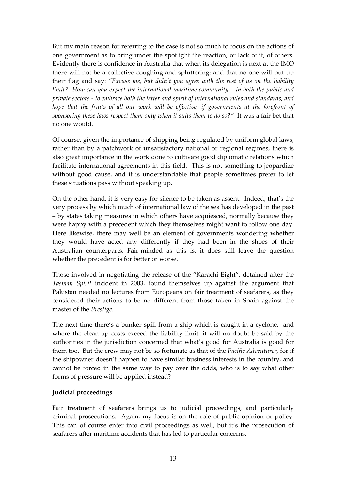But my main reason for referring to the case is not so much to focus on the actions of one government as to bring under the spotlight the reaction, or lack of it, of others. Evidently there is confidence in Australia that when its delegation is next at the IMO there will not be a collective coughing and spluttering; and that no one will put up their flag and say: "Excuse me, but didn't you agree with the rest of us on the liability limit? How can you expect the international maritime community – in both the public and private sectors - to embrace both the letter and spirit of international rules and standards, and hope that the fruits of all our work will be effective, if governments at the forefront of sponsoring these laws respect them only when it suits them to do so?" It was a fair bet that no one would.

Of course, given the importance of shipping being regulated by uniform global laws, rather than by a patchwork of unsatisfactory national or regional regimes, there is also great importance in the work done to cultivate good diplomatic relations which facilitate international agreements in this field. This is not something to jeopardize without good cause, and it is understandable that people sometimes prefer to let these situations pass without speaking up.

On the other hand, it is very easy for silence to be taken as assent. Indeed, that's the very process by which much of international law of the sea has developed in the past – by states taking measures in which others have acquiesced, normally because they were happy with a precedent which they themselves might want to follow one day. Here likewise, there may well be an element of governments wondering whether they would have acted any differently if they had been in the shoes of their Australian counterparts. Fair-minded as this is, it does still leave the question whether the precedent is for better or worse.

Those involved in negotiating the release of the "Karachi Eight", detained after the Tasman Spirit incident in 2003, found themselves up against the argument that Pakistan needed no lectures from Europeans on fair treatment of seafarers, as they considered their actions to be no different from those taken in Spain against the master of the Prestige.

The next time there's a bunker spill from a ship which is caught in a cyclone, and where the clean-up costs exceed the liability limit, it will no doubt be said by the authorities in the jurisdiction concerned that what's good for Australia is good for them too. But the crew may not be so fortunate as that of the *Pacific Adventurer*, for if the shipowner doesn't happen to have similar business interests in the country, and cannot be forced in the same way to pay over the odds, who is to say what other forms of pressure will be applied instead?

#### Judicial proceedings

Fair treatment of seafarers brings us to judicial proceedings, and particularly criminal prosecutions. Again, my focus is on the role of public opinion or policy. This can of course enter into civil proceedings as well, but it's the prosecution of seafarers after maritime accidents that has led to particular concerns.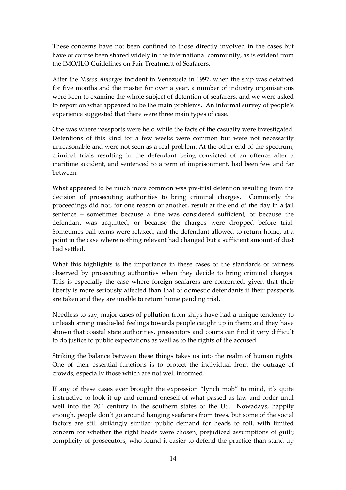These concerns have not been confined to those directly involved in the cases but have of course been shared widely in the international community, as is evident from the IMO/ILO Guidelines on Fair Treatment of Seafarers.

After the Nissos Amorgos incident in Venezuela in 1997, when the ship was detained for five months and the master for over a year, a number of industry organisations were keen to examine the whole subject of detention of seafarers, and we were asked to report on what appeared to be the main problems. An informal survey of people's experience suggested that there were three main types of case.

One was where passports were held while the facts of the casualty were investigated. Detentions of this kind for a few weeks were common but were not necessarily unreasonable and were not seen as a real problem. At the other end of the spectrum, criminal trials resulting in the defendant being convicted of an offence after a maritime accident, and sentenced to a term of imprisonment, had been few and far between.

What appeared to be much more common was pre-trial detention resulting from the decision of prosecuting authorities to bring criminal charges. Commonly the proceedings did not, for one reason or another, result at the end of the day in a jail sentence – sometimes because a fine was considered sufficient, or because the defendant was acquitted, or because the charges were dropped before trial. Sometimes bail terms were relaxed, and the defendant allowed to return home, at a point in the case where nothing relevant had changed but a sufficient amount of dust had settled.

What this highlights is the importance in these cases of the standards of fairness observed by prosecuting authorities when they decide to bring criminal charges. This is especially the case where foreign seafarers are concerned, given that their liberty is more seriously affected than that of domestic defendants if their passports are taken and they are unable to return home pending trial.

Needless to say, major cases of pollution from ships have had a unique tendency to unleash strong media-led feelings towards people caught up in them; and they have shown that coastal state authorities, prosecutors and courts can find it very difficult to do justice to public expectations as well as to the rights of the accused.

Striking the balance between these things takes us into the realm of human rights. One of their essential functions is to protect the individual from the outrage of crowds, especially those which are not well informed.

If any of these cases ever brought the expression "lynch mob" to mind, it's quite instructive to look it up and remind oneself of what passed as law and order until well into the 20<sup>th</sup> century in the southern states of the US. Nowadays, happily enough, people don't go around hanging seafarers from trees, but some of the social factors are still strikingly similar: public demand for heads to roll, with limited concern for whether the right heads were chosen; prejudiced assumptions of guilt; complicity of prosecutors, who found it easier to defend the practice than stand up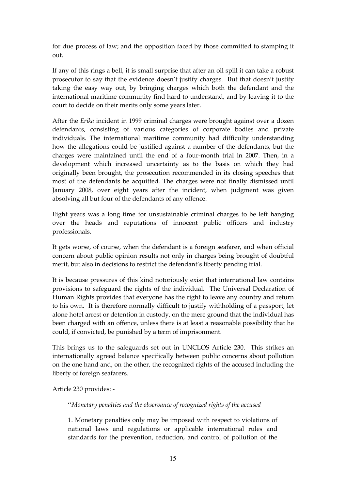for due process of law; and the opposition faced by those committed to stamping it out.

If any of this rings a bell, it is small surprise that after an oil spill it can take a robust prosecutor to say that the evidence doesn't justify charges. But that doesn't justify taking the easy way out, by bringing charges which both the defendant and the international maritime community find hard to understand, and by leaving it to the court to decide on their merits only some years later.

After the Erika incident in 1999 criminal charges were brought against over a dozen defendants, consisting of various categories of corporate bodies and private individuals. The international maritime community had difficulty understanding how the allegations could be justified against a number of the defendants, but the charges were maintained until the end of a four-month trial in 2007. Then, in a development which increased uncertainty as to the basis on which they had originally been brought, the prosecution recommended in its closing speeches that most of the defendants be acquitted. The charges were not finally dismissed until January 2008, over eight years after the incident, when judgment was given absolving all but four of the defendants of any offence.

Eight years was a long time for unsustainable criminal charges to be left hanging over the heads and reputations of innocent public officers and industry professionals.

It gets worse, of course, when the defendant is a foreign seafarer, and when official concern about public opinion results not only in charges being brought of doubtful merit, but also in decisions to restrict the defendant's liberty pending trial.

It is because pressures of this kind notoriously exist that international law contains provisions to safeguard the rights of the individual. The Universal Declaration of Human Rights provides that everyone has the right to leave any country and return to his own. It is therefore normally difficult to justify withholding of a passport, let alone hotel arrest or detention in custody, on the mere ground that the individual has been charged with an offence, unless there is at least a reasonable possibility that he could, if convicted, be punished by a term of imprisonment.

This brings us to the safeguards set out in UNCLOS Article 230. This strikes an internationally agreed balance specifically between public concerns about pollution on the one hand and, on the other, the recognized rights of the accused including the liberty of foreign seafarers.

Article 230 provides: -

''Monetary penalties and the observance of recognized rights of the accused

1. Monetary penalties only may be imposed with respect to violations of national laws and regulations or applicable international rules and standards for the prevention, reduction, and control of pollution of the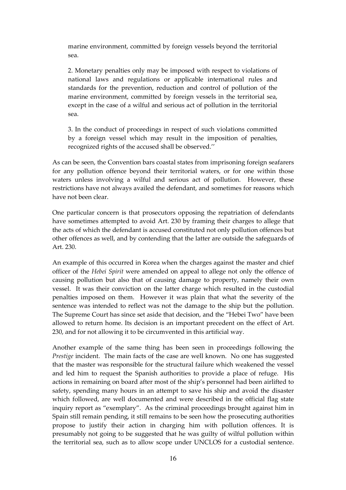marine environment, committed by foreign vessels beyond the territorial sea.

2. Monetary penalties only may be imposed with respect to violations of national laws and regulations or applicable international rules and standards for the prevention, reduction and control of pollution of the marine environment, committed by foreign vessels in the territorial sea, except in the case of a wilful and serious act of pollution in the territorial sea.

3. In the conduct of proceedings in respect of such violations committed by a foreign vessel which may result in the imposition of penalties, recognized rights of the accused shall be observed.''

As can be seen, the Convention bars coastal states from imprisoning foreign seafarers for any pollution offence beyond their territorial waters, or for one within those waters unless involving a wilful and serious act of pollution. However, these restrictions have not always availed the defendant, and sometimes for reasons which have not been clear.

One particular concern is that prosecutors opposing the repatriation of defendants have sometimes attempted to avoid Art. 230 by framing their charges to allege that the acts of which the defendant is accused constituted not only pollution offences but other offences as well, and by contending that the latter are outside the safeguards of Art. 230.

An example of this occurred in Korea when the charges against the master and chief officer of the Hebei Spirit were amended on appeal to allege not only the offence of causing pollution but also that of causing damage to property, namely their own vessel. It was their conviction on the latter charge which resulted in the custodial penalties imposed on them. However it was plain that what the severity of the sentence was intended to reflect was not the damage to the ship but the pollution. The Supreme Court has since set aside that decision, and the "Hebei Two" have been allowed to return home. Its decision is an important precedent on the effect of Art. 230, and for not allowing it to be circumvented in this artificial way.

Another example of the same thing has been seen in proceedings following the Prestige incident. The main facts of the case are well known. No one has suggested that the master was responsible for the structural failure which weakened the vessel and led him to request the Spanish authorities to provide a place of refuge. His actions in remaining on board after most of the ship's personnel had been airlifted to safety, spending many hours in an attempt to save his ship and avoid the disaster which followed, are well documented and were described in the official flag state inquiry report as "exemplary". As the criminal proceedings brought against him in Spain still remain pending, it still remains to be seen how the prosecuting authorities propose to justify their action in charging him with pollution offences. It is presumably not going to be suggested that he was guilty of wilful pollution within the territorial sea, such as to allow scope under UNCLOS for a custodial sentence.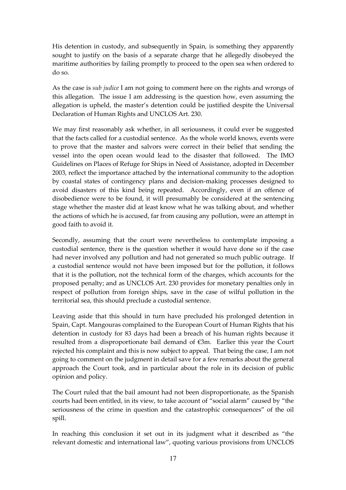His detention in custody, and subsequently in Spain, is something they apparently sought to justify on the basis of a separate charge that he allegedly disobeyed the maritime authorities by failing promptly to proceed to the open sea when ordered to do so.

As the case is *sub judice* I am not going to comment here on the rights and wrongs of this allegation. The issue I am addressing is the question how, even assuming the allegation is upheld, the master's detention could be justified despite the Universal Declaration of Human Rights and UNCLOS Art. 230.

We may first reasonably ask whether, in all seriousness, it could ever be suggested that the facts called for a custodial sentence. As the whole world knows, events were to prove that the master and salvors were correct in their belief that sending the vessel into the open ocean would lead to the disaster that followed. The IMO Guidelines on Places of Refuge for Ships in Need of Assistance, adopted in December 2003, reflect the importance attached by the international community to the adoption by coastal states of contingency plans and decision-making processes designed to avoid disasters of this kind being repeated. Accordingly, even if an offence of disobedience were to be found, it will presumably be considered at the sentencing stage whether the master did at least know what he was talking about, and whether the actions of which he is accused, far from causing any pollution, were an attempt in good faith to avoid it.

Secondly, assuming that the court were nevertheless to contemplate imposing a custodial sentence, there is the question whether it would have done so if the case had never involved any pollution and had not generated so much public outrage. If a custodial sentence would not have been imposed but for the pollution, it follows that it is the pollution, not the technical form of the charges, which accounts for the proposed penalty; and as UNCLOS Art. 230 provides for monetary penalties only in respect of pollution from foreign ships, save in the case of wilful pollution in the territorial sea, this should preclude a custodial sentence.

Leaving aside that this should in turn have precluded his prolonged detention in Spain, Capt. Mangouras complained to the European Court of Human Rights that his detention in custody for 83 days had been a breach of his human rights because it resulted from a disproportionate bail demand of €3m. Earlier this year the Court rejected his complaint and this is now subject to appeal. That being the case, I am not going to comment on the judgment in detail save for a few remarks about the general approach the Court took, and in particular about the role in its decision of public opinion and policy.

The Court ruled that the bail amount had not been disproportionate, as the Spanish courts had been entitled, in its view, to take account of "social alarm" caused by "the seriousness of the crime in question and the catastrophic consequences" of the oil spill.

In reaching this conclusion it set out in its judgment what it described as "the relevant domestic and international law", quoting various provisions from UNCLOS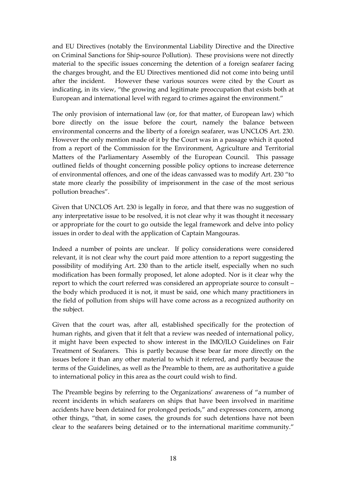and EU Directives (notably the Environmental Liability Directive and the Directive on Criminal Sanctions for Ship-source Pollution). These provisions were not directly material to the specific issues concerning the detention of a foreign seafarer facing the charges brought, and the EU Directives mentioned did not come into being until after the incident. However these various sources were cited by the Court as indicating, in its view, "the growing and legitimate preoccupation that exists both at European and international level with regard to crimes against the environment."

The only provision of international law (or, for that matter, of European law) which bore directly on the issue before the court, namely the balance between environmental concerns and the liberty of a foreign seafarer, was UNCLOS Art. 230. However the only mention made of it by the Court was in a passage which it quoted from a report of the Commission for the Environment, Agriculture and Territorial Matters of the Parliamentary Assembly of the European Council. This passage outlined fields of thought concerning possible policy options to increase deterrence of environmental offences, and one of the ideas canvassed was to modify Art. 230 "to state more clearly the possibility of imprisonment in the case of the most serious pollution breaches".

Given that UNCLOS Art. 230 is legally in force, and that there was no suggestion of any interpretative issue to be resolved, it is not clear why it was thought it necessary or appropriate for the court to go outside the legal framework and delve into policy issues in order to deal with the application of Captain Mangouras.

Indeed a number of points are unclear. If policy considerations were considered relevant, it is not clear why the court paid more attention to a report suggesting the possibility of modifying Art. 230 than to the article itself, especially when no such modification has been formally proposed, let alone adopted. Nor is it clear why the report to which the court referred was considered an appropriate source to consult – the body which produced it is not, it must be said, one which many practitioners in the field of pollution from ships will have come across as a recognized authority on the subject.

Given that the court was, after all, established specifically for the protection of human rights, and given that it felt that a review was needed of international policy, it might have been expected to show interest in the IMO/ILO Guidelines on Fair Treatment of Seafarers. This is partly because these bear far more directly on the issues before it than any other material to which it referred, and partly because the terms of the Guidelines, as well as the Preamble to them, are as authoritative a guide to international policy in this area as the court could wish to find.

The Preamble begins by referring to the Organizations' awareness of "a number of recent incidents in which seafarers on ships that have been involved in maritime accidents have been detained for prolonged periods," and expresses concern, among other things, "that, in some cases, the grounds for such detentions have not been clear to the seafarers being detained or to the international maritime community."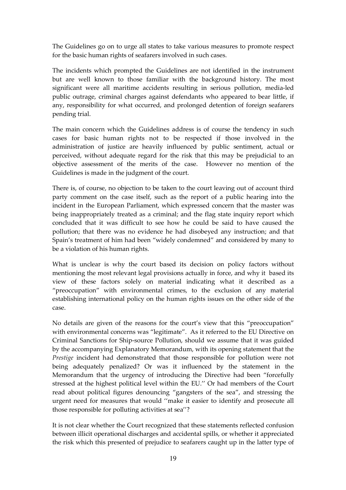The Guidelines go on to urge all states to take various measures to promote respect for the basic human rights of seafarers involved in such cases.

The incidents which prompted the Guidelines are not identified in the instrument but are well known to those familiar with the background history. The most significant were all maritime accidents resulting in serious pollution, media-led public outrage, criminal charges against defendants who appeared to bear little, if any, responsibility for what occurred, and prolonged detention of foreign seafarers pending trial.

The main concern which the Guidelines address is of course the tendency in such cases for basic human rights not to be respected if those involved in the administration of justice are heavily influenced by public sentiment, actual or perceived, without adequate regard for the risk that this may be prejudicial to an objective assessment of the merits of the case. However no mention of the Guidelines is made in the judgment of the court.

There is, of course, no objection to be taken to the court leaving out of account third party comment on the case itself, such as the report of a public hearing into the incident in the European Parliament, which expressed concern that the master was being inappropriately treated as a criminal; and the flag state inquiry report which concluded that it was difficult to see how he could be said to have caused the pollution; that there was no evidence he had disobeyed any instruction; and that Spain's treatment of him had been "widely condemned" and considered by many to be a violation of his human rights.

What is unclear is why the court based its decision on policy factors without mentioning the most relevant legal provisions actually in force, and why it based its view of these factors solely on material indicating what it described as a "preoccupation" with environmental crimes, to the exclusion of any material establishing international policy on the human rights issues on the other side of the case.

No details are given of the reasons for the court's view that this "preoccupation" with environmental concerns was "legitimate". As it referred to the EU Directive on Criminal Sanctions for Ship-source Pollution, should we assume that it was guided by the accompanying Explanatory Memorandum, with its opening statement that the Prestige incident had demonstrated that those responsible for pollution were not being adequately penalized? Or was it influenced by the statement in the Memorandum that the urgency of introducing the Directive had been "forcefully stressed at the highest political level within the EU.'' Or had members of the Court read about political figures denouncing "gangsters of the sea", and stressing the urgent need for measures that would ''make it easier to identify and prosecute all those responsible for polluting activities at sea''?

It is not clear whether the Court recognized that these statements reflected confusion between illicit operational discharges and accidental spills, or whether it appreciated the risk which this presented of prejudice to seafarers caught up in the latter type of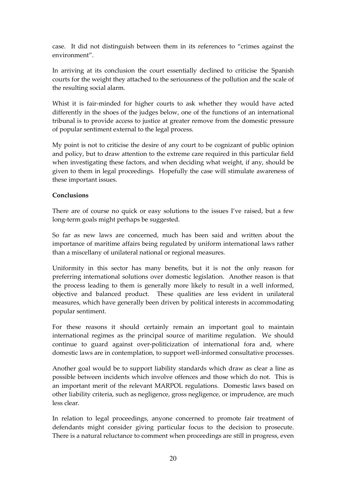case. It did not distinguish between them in its references to "crimes against the environment".

In arriving at its conclusion the court essentially declined to criticise the Spanish courts for the weight they attached to the seriousness of the pollution and the scale of the resulting social alarm.

Whist it is fair-minded for higher courts to ask whether they would have acted differently in the shoes of the judges below, one of the functions of an international tribunal is to provide access to justice at greater remove from the domestic pressure of popular sentiment external to the legal process.

My point is not to criticise the desire of any court to be cognizant of public opinion and policy, but to draw attention to the extreme care required in this particular field when investigating these factors, and when deciding what weight, if any, should be given to them in legal proceedings. Hopefully the case will stimulate awareness of these important issues.

#### Conclusions

There are of course no quick or easy solutions to the issues I've raised, but a few long-term goals might perhaps be suggested.

So far as new laws are concerned, much has been said and written about the importance of maritime affairs being regulated by uniform international laws rather than a miscellany of unilateral national or regional measures.

Uniformity in this sector has many benefits, but it is not the only reason for preferring international solutions over domestic legislation. Another reason is that the process leading to them is generally more likely to result in a well informed, objective and balanced product. These qualities are less evident in unilateral measures, which have generally been driven by political interests in accommodating popular sentiment.

For these reasons it should certainly remain an important goal to maintain international regimes as the principal source of maritime regulation. We should continue to guard against over-politicization of international fora and, where domestic laws are in contemplation, to support well-informed consultative processes.

Another goal would be to support liability standards which draw as clear a line as possible between incidents which involve offences and those which do not. This is an important merit of the relevant MARPOL regulations. Domestic laws based on other liability criteria, such as negligence, gross negligence, or imprudence, are much less clear.

In relation to legal proceedings, anyone concerned to promote fair treatment of defendants might consider giving particular focus to the decision to prosecute. There is a natural reluctance to comment when proceedings are still in progress, even